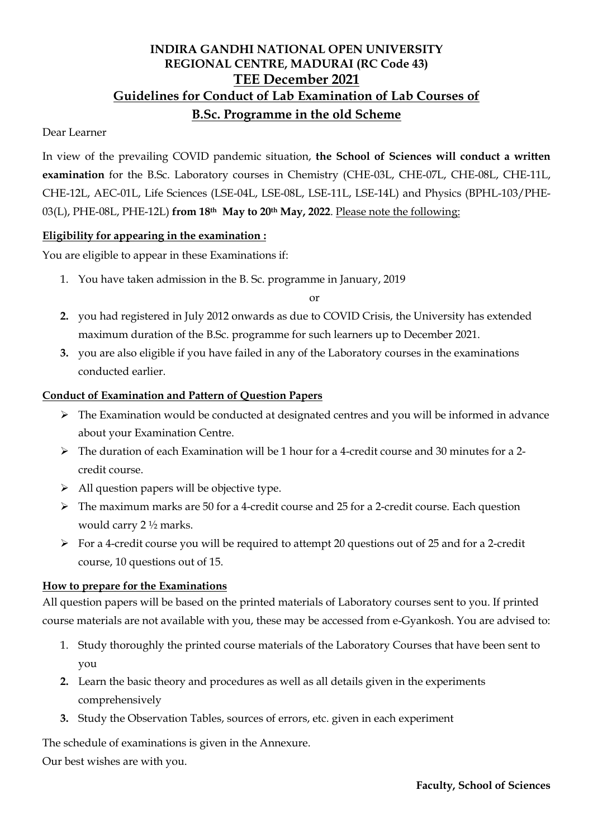# **INDIRA GANDHI NATIONAL OPEN UNIVERSITY REGIONAL CENTRE, MADURAI (RC Code 43) TEE December 2021 Guidelines for Conduct of Lab Examination of Lab Courses of B.Sc. Programme in the old Scheme**

## Dear Learner

In view of the prevailing COVID pandemic situation, **the School of Sciences will conduct a written examination** for the B.Sc. Laboratory courses in Chemistry (CHE-03L, CHE-07L, CHE-08L, CHE-11L, CHE-12L, AEC-01L, Life Sciences (LSE-04L, LSE-08L, LSE-11L, LSE-14L) and Physics (BPHL-103/PHE-03(L), PHE-08L, PHE-12L) **from 18th May to 20th May, 2022**. Please note the following:

## **Eligibility for appearing in the examination :**

You are eligible to appear in these Examinations if:

1. You have taken admission in the B. Sc. programme in January, 2019

or

- **2.** you had registered in July 2012 onwards as due to COVID Crisis, the University has extended maximum duration of the B.Sc. programme for such learners up to December 2021.
- **3.** you are also eligible if you have failed in any of the Laboratory courses in the examinations conducted earlier.

## **Conduct of Examination and Pattern of Question Papers**

- $\triangleright$  The Examination would be conducted at designated centres and you will be informed in advance about your Examination Centre.
- The duration of each Examination will be 1 hour for a 4-credit course and 30 minutes for a 2 credit course.
- $\triangleright$  All question papers will be objective type.
- The maximum marks are 50 for a 4-credit course and 25 for a 2-credit course. Each question would carry 2 ½ marks.
- $\triangleright$  For a 4-credit course you will be required to attempt 20 questions out of 25 and for a 2-credit course, 10 questions out of 15.

## **How to prepare for the Examinations**

All question papers will be based on the printed materials of Laboratory courses sent to you. If printed course materials are not available with you, these may be accessed from e-Gyankosh. You are advised to:

- 1. Study thoroughly the printed course materials of the Laboratory Courses that have been sent to you
- **2.** Learn the basic theory and procedures as well as all details given in the experiments comprehensively
- **3.** Study the Observation Tables, sources of errors, etc. given in each experiment

The schedule of examinations is given in the Annexure.

Our best wishes are with you.